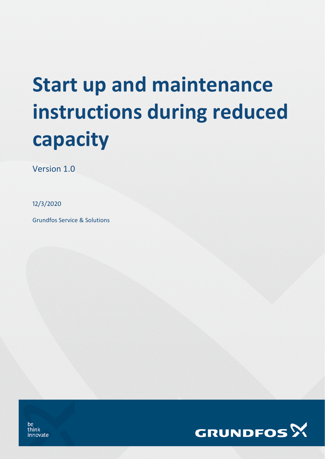# **Start up and maintenance instructions during reduced capacity**

Version 1.0

12/3/2020

Grundfos Service & Solutions



be think innovate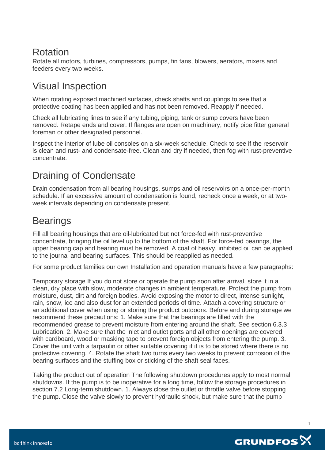#### Rotation

Rotate all motors, turbines, compressors, pumps, fin fans, blowers, aerators, mixers and feeders every two weeks.

## Visual Inspection

When rotating exposed machined surfaces, check shafts and couplings to see that a protective coating has been applied and has not been removed. Reapply if needed.

Check all lubricating lines to see if any tubing, piping, tank or sump covers have been removed. Retape ends and cover. If flanges are open on machinery, notify pipe fitter general foreman or other designated personnel.

Inspect the interior of lube oil consoles on a six-week schedule. Check to see if the reservoir is clean and rust- and condensate-free. Clean and dry if needed, then fog with rust-preventive concentrate.

# Draining of Condensate

Drain condensation from all bearing housings, sumps and oil reservoirs on a once-per-month schedule. If an excessive amount of condensation is found, recheck once a week, or at twoweek intervals depending on condensate present.

### **Bearings**

Fill all bearing housings that are oil-lubricated but not force-fed with rust-preventive concentrate, bringing the oil level up to the bottom of the shaft. For force-fed bearings, the upper bearing cap and bearing must be removed. A coat of heavy, inhibited oil can be applied to the journal and bearing surfaces. This should be reapplied as needed.

For some product families our own Installation and operation manuals have a few paragraphs:

Temporary storage If you do not store or operate the pump soon after arrival, store it in a clean, dry place with slow, moderate changes in ambient temperature. Protect the pump from moisture, dust, dirt and foreign bodies. Avoid exposing the motor to direct, intense sunlight, rain, snow, ice and also dust for an extended periods of time. Attach a covering structure or an additional cover when using or storing the product outdoors. Before and during storage we recommend these precautions: 1. Make sure that the bearings are filled with the recommended grease to prevent moisture from entering around the shaft. See section 6.3.3 Lubrication. 2. Make sure that the inlet and outlet ports and all other openings are covered with cardboard, wood or masking tape to prevent foreign objects from entering the pump. 3. Cover the unit with a tarpaulin or other suitable covering if it is to be stored where there is no protective covering. 4. Rotate the shaft two turns every two weeks to prevent corrosion of the bearing surfaces and the stuffing box or sticking of the shaft seal faces.

Taking the product out of operation The following shutdown procedures apply to most normal shutdowns. If the pump is to be inoperative for a long time, follow the storage procedures in section 7.2 Long-term shutdown. 1. Always close the outlet or throttle valve before stopping the pump. Close the valve slowly to prevent hydraulic shock, but make sure that the pump



**1**